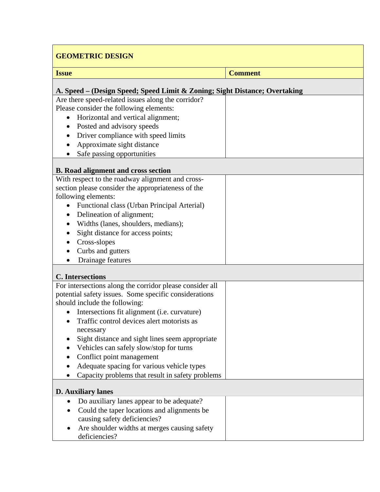## **GEOMETRIC DESIGN**

**Comment** 

#### **A. Speed – (Design Speed; Speed Limit & Zoning; Sight Distance; Overtaking**

Are there speed-related issues along the corridor? Please consider the following elements:

- Horizontal and vertical alignment;
- Posted and advisory speeds
- Driver compliance with speed limits
- Approximate sight distance
- Safe passing opportunities

### **B. Road alignment and cross section**

With respect to the roadway alignment and crosssection please consider the appropriateness of the following elements:

- Functional class (Urban Principal Arterial)
- Delineation of alignment;
- Widths (lanes, shoulders, medians);
- Sight distance for access points;
- Cross-slopes
- Curbs and gutters
- Drainage features

#### **C. Intersections**

For intersections along the corridor please consider all potential safety issues. Some specific considerations should include the following: • Intersections fit alignment (i.e. curvature)

- Traffic control devices alert motorists as necessary
- Sight distance and sight lines seem appropriate
- Vehicles can safely slow/stop for turns
- Conflict point management
- Adequate spacing for various vehicle types
- Capacity problems that result in safety problems

#### **D. Auxiliary lanes**

- Do auxiliary lanes appear to be adequate?
- Could the taper locations and alignments be causing safety deficiencies?
- Are shoulder widths at merges causing safety deficiencies?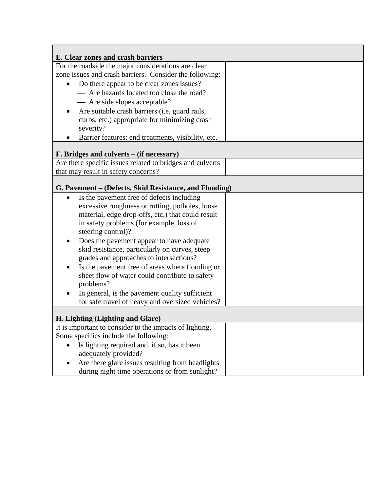| E. Clear zones and crash barriers                         |  |
|-----------------------------------------------------------|--|
| For the roadside the major considerations are clear       |  |
| zone issues and crash barriers. Consider the following:   |  |
| Do there appear to be clear zones issues?<br>٠            |  |
| - Are hazards located too close the road?                 |  |
| — Are side slopes acceptable?                             |  |
| Are suitable crash barriers (i.e., guard rails,           |  |
| curbs, etc.) appropriate for minimizing crash             |  |
| severity?                                                 |  |
| Barrier features: end treatments, visibility, etc.        |  |
| F. Bridges and culverts – (if necessary)                  |  |
| Are there specific issues related to bridges and culverts |  |
| that may result in safety concerns?                       |  |
|                                                           |  |
| G. Pavement – (Defects, Skid Resistance, and Flooding)    |  |
| Is the pavement free of defects including<br>$\bullet$    |  |
| excessive roughness or rutting, potholes, loose           |  |
| material, edge drop-offs, etc.) that could result         |  |
| in safety problems (for example, loss of                  |  |
| steering control)?                                        |  |
| Does the pavement appear to have adequate                 |  |
| skid resistance, particularly on curves, steep            |  |
| grades and approaches to intersections?                   |  |
| Is the pavement free of areas where flooding or           |  |
| sheet flow of water could contribute to safety            |  |
| problems?                                                 |  |
| In general, is the pavement quality sufficient            |  |
| for safe travel of heavy and oversized vehicles?          |  |
| H. Lighting (Lighting and Glare)                          |  |
| It is important to consider to the impacts of lighting.   |  |
| Some specifics include the following:                     |  |
| Is lighting required and, if so, has it been              |  |
| adequately provided?                                      |  |
| Are there glare issues resulting from headlights          |  |
| during night time operations or from sunlight?            |  |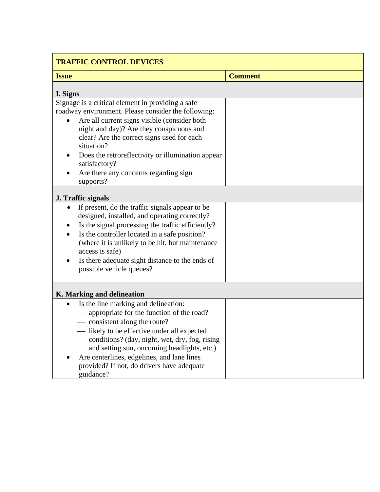| <b>TRAFFIC CONTROL DEVICES</b>                                                                                  |                |  |
|-----------------------------------------------------------------------------------------------------------------|----------------|--|
| <b>Issue</b>                                                                                                    | <b>Comment</b> |  |
| I. Signs                                                                                                        |                |  |
| Signage is a critical element in providing a safe                                                               |                |  |
| roadway environment. Please consider the following:                                                             |                |  |
| Are all current signs visible (consider both                                                                    |                |  |
| night and day)? Are they conspicuous and<br>clear? Are the correct signs used for each                          |                |  |
| situation?                                                                                                      |                |  |
| Does the retroreflectivity or illumination appear                                                               |                |  |
| satisfactory?                                                                                                   |                |  |
| Are there any concerns regarding sign                                                                           |                |  |
| supports?                                                                                                       |                |  |
|                                                                                                                 |                |  |
| J. Traffic signals                                                                                              |                |  |
| If present, do the traffic signals appear to be<br>$\bullet$                                                    |                |  |
| designed, installed, and operating correctly?                                                                   |                |  |
| Is the signal processing the traffic efficiently?<br>$\bullet$<br>Is the controller located in a safe position? |                |  |
| (where it is unlikely to be hit, but maintenance                                                                |                |  |
| access is safe)                                                                                                 |                |  |
| Is there adequate sight distance to the ends of                                                                 |                |  |
| possible vehicle queues?                                                                                        |                |  |
|                                                                                                                 |                |  |
| K. Marking and delineation                                                                                      |                |  |
| Is the line marking and delineation:<br>$\bullet$                                                               |                |  |
| - appropriate for the function of the road?                                                                     |                |  |
| - consistent along the route?                                                                                   |                |  |
| likely to be effective under all expected                                                                       |                |  |
| conditions? (day, night, wet, dry, fog, rising                                                                  |                |  |
| and setting sun, oncoming headlights, etc.)                                                                     |                |  |
| Are centerlines, edgelines, and lane lines                                                                      |                |  |
| provided? If not, do drivers have adequate                                                                      |                |  |
| guidance?                                                                                                       |                |  |